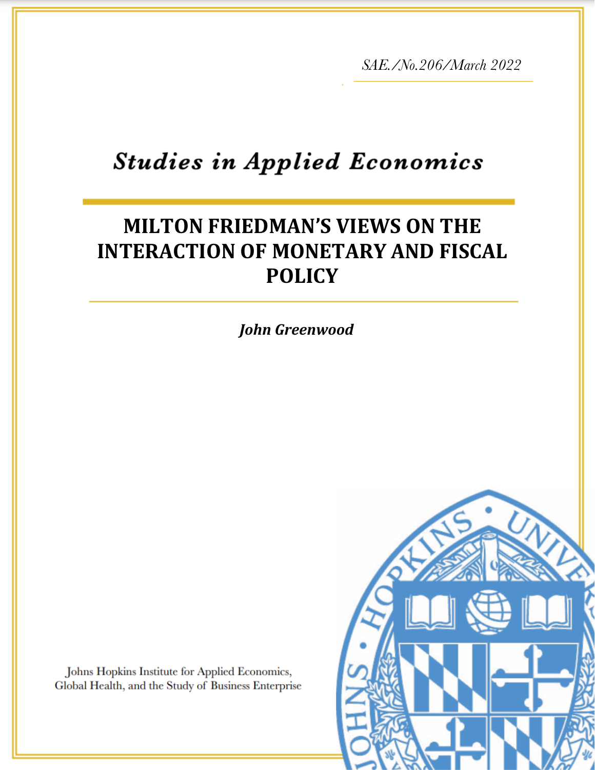*SAE./No.206/March 2022*

# **Studies in Applied Economics**

# **MILTON FRIEDMAN'S VIEWS ON THE INTERACTION OF MONETARY AND FISCAL POLICY**

*Ambika Kandasamy*

*John Greenwood*

Johns Hopkins Institute for Applied Economics, Global Health, and the Study of Business Enterprise

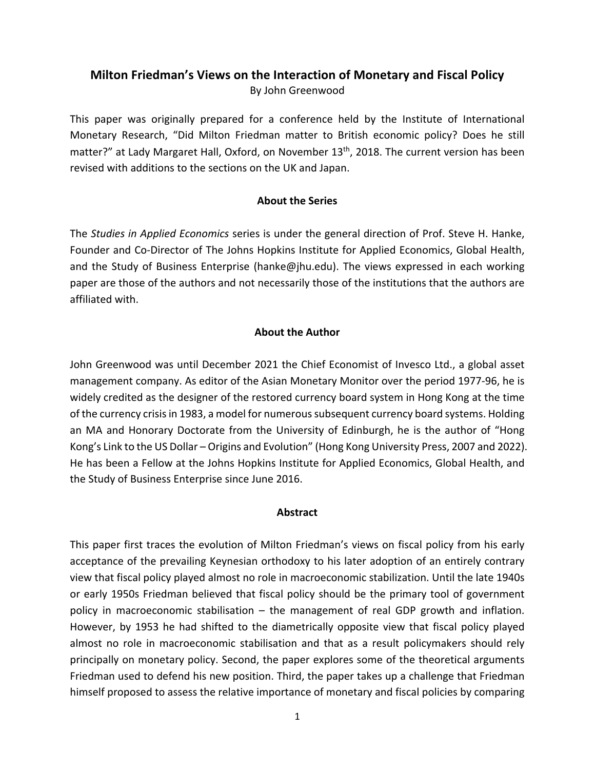### **Milton Friedman's Views on the Interaction of Monetary and Fiscal Policy** By John Greenwood

This paper was originally prepared for a conference held by the Institute of International Monetary Research, "Did Milton Friedman matter to British economic policy? Does he still matter?" at Lady Margaret Hall, Oxford, on November 13<sup>th</sup>, 2018. The current version has been revised with additions to the sections on the UK and Japan.

### **About the Series**

The *Studies in Applied Economics* series is under the general direction of Prof. Steve H. Hanke, Founder and Co-Director of The Johns Hopkins Institute for Applied Economics, Global Health, and the Study of Business Enterprise (hanke@jhu.edu). The views expressed in each working paper are those of the authors and not necessarily those of the institutions that the authors are affiliated with.

### **About the Author**

John Greenwood was until December 2021 the Chief Economist of Invesco Ltd., a global asset management company. As editor of the Asian Monetary Monitor over the period 1977-96, he is widely credited as the designer of the restored currency board system in Hong Kong at the time of the currency crisis in 1983, a model for numerous subsequent currency board systems. Holding an MA and Honorary Doctorate from the University of Edinburgh, he is the author of "Hong Kong's Link to the US Dollar – Origins and Evolution" (Hong Kong University Press, 2007 and 2022). He has been a Fellow at the Johns Hopkins Institute for Applied Economics, Global Health, and the Study of Business Enterprise since June 2016.

#### **Abstract**

This paper first traces the evolution of Milton Friedman's views on fiscal policy from his early acceptance of the prevailing Keynesian orthodoxy to his later adoption of an entirely contrary view that fiscal policy played almost no role in macroeconomic stabilization. Until the late 1940s or early 1950s Friedman believed that fiscal policy should be the primary tool of government policy in macroeconomic stabilisation – the management of real GDP growth and inflation. However, by 1953 he had shifted to the diametrically opposite view that fiscal policy played almost no role in macroeconomic stabilisation and that as a result policymakers should rely principally on monetary policy. Second, the paper explores some of the theoretical arguments Friedman used to defend his new position. Third, the paper takes up a challenge that Friedman himself proposed to assess the relative importance of monetary and fiscal policies by comparing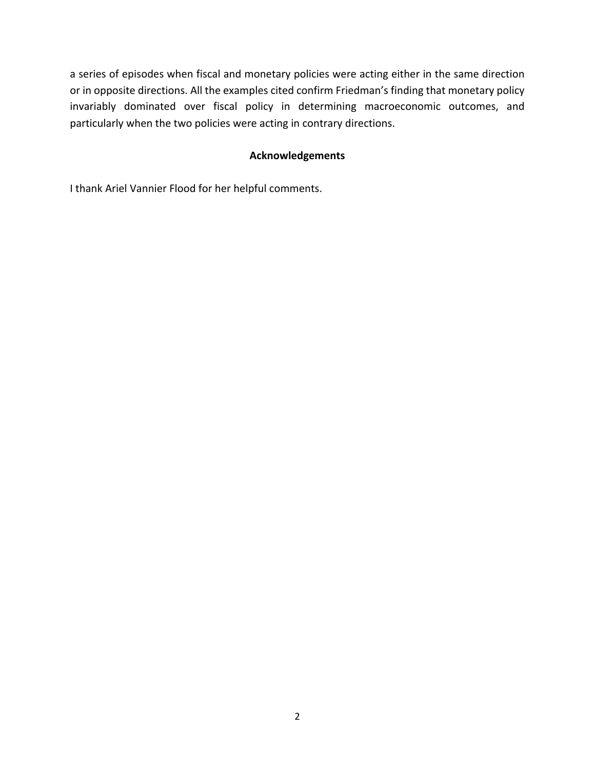a series of episodes when fiscal and monetary policies were acting either in the same direction or in opposite directions. All the examples cited confirm Friedman's finding that monetary policy invariably dominated over fiscal policy in determining macroeconomic outcomes, and particularly when the two policies were acting in contrary directions.

### **Acknowledgements**

I thank Ariel Vannier Flood for her helpful comments.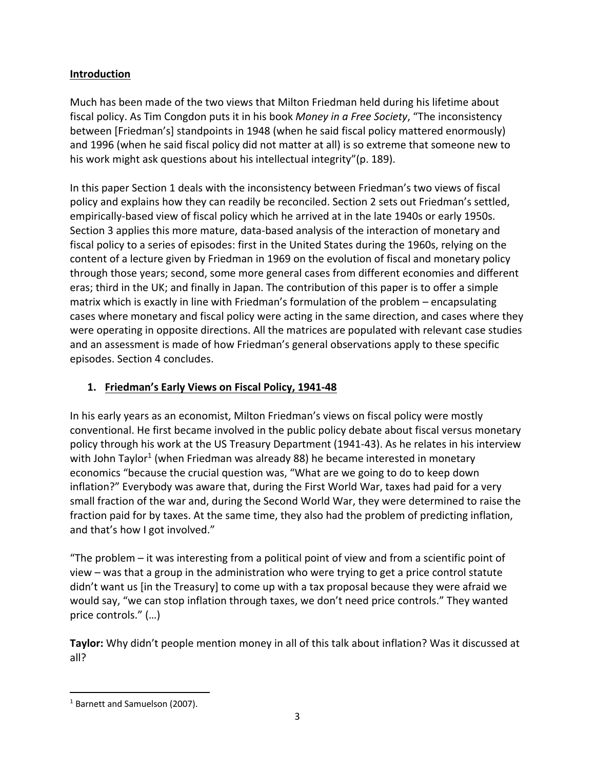### **Introduction**

Much has been made of the two views that Milton Friedman held during his lifetime about fiscal policy. As Tim Congdon puts it in his book *Money in a Free Society*, "The inconsistency between [Friedman's] standpoints in 1948 (when he said fiscal policy mattered enormously) and 1996 (when he said fiscal policy did not matter at all) is so extreme that someone new to his work might ask questions about his intellectual integrity"(p. 189).

In this paper Section 1 deals with the inconsistency between Friedman's two views of fiscal policy and explains how they can readily be reconciled. Section 2 sets out Friedman's settled, empirically-based view of fiscal policy which he arrived at in the late 1940s or early 1950s. Section 3 applies this more mature, data-based analysis of the interaction of monetary and fiscal policy to a series of episodes: first in the United States during the 1960s, relying on the content of a lecture given by Friedman in 1969 on the evolution of fiscal and monetary policy through those years; second, some more general cases from different economies and different eras; third in the UK; and finally in Japan. The contribution of this paper is to offer a simple matrix which is exactly in line with Friedman's formulation of the problem – encapsulating cases where monetary and fiscal policy were acting in the same direction, and cases where they were operating in opposite directions. All the matrices are populated with relevant case studies and an assessment is made of how Friedman's general observations apply to these specific episodes. Section 4 concludes.

### **1. Friedman's Early Views on Fiscal Policy, 1941-48**

In his early years as an economist, Milton Friedman's views on fiscal policy were mostly conventional. He first became involved in the public policy debate about fiscal versus monetary policy through his work at the US Treasury Department (1941-43). As he relates in his interview with John Taylor<sup>1</sup> (when Friedman was already 88) he became interested in monetary economics "because the crucial question was, "What are we going to do to keep down inflation?" Everybody was aware that, during the First World War, taxes had paid for a very small fraction of the war and, during the Second World War, they were determined to raise the fraction paid for by taxes. At the same time, they also had the problem of predicting inflation, and that's how I got involved."

"The problem – it was interesting from a political point of view and from a scientific point of view – was that a group in the administration who were trying to get a price control statute didn't want us [in the Treasury] to come up with a tax proposal because they were afraid we would say, "we can stop inflation through taxes, we don't need price controls." They wanted price controls." (…)

**Taylor:** Why didn't people mention money in all of this talk about inflation? Was it discussed at all?

<sup>&</sup>lt;sup>1</sup> Barnett and Samuelson (2007).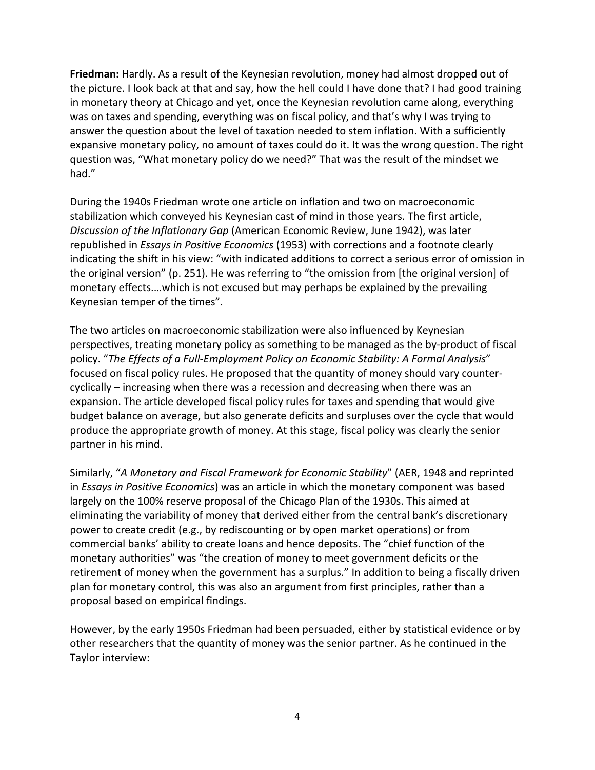**Friedman:** Hardly. As a result of the Keynesian revolution, money had almost dropped out of the picture. I look back at that and say, how the hell could I have done that? I had good training in monetary theory at Chicago and yet, once the Keynesian revolution came along, everything was on taxes and spending, everything was on fiscal policy, and that's why I was trying to answer the question about the level of taxation needed to stem inflation. With a sufficiently expansive monetary policy, no amount of taxes could do it. It was the wrong question. The right question was, "What monetary policy do we need?" That was the result of the mindset we had."

During the 1940s Friedman wrote one article on inflation and two on macroeconomic stabilization which conveyed his Keynesian cast of mind in those years. The first article, *Discussion of the Inflationary Gap* (American Economic Review, June 1942), was later republished in *Essays in Positive Economics* (1953) with corrections and a footnote clearly indicating the shift in his view: "with indicated additions to correct a serious error of omission in the original version" (p. 251). He was referring to "the omission from [the original version] of monetary effects.…which is not excused but may perhaps be explained by the prevailing Keynesian temper of the times".

The two articles on macroeconomic stabilization were also influenced by Keynesian perspectives, treating monetary policy as something to be managed as the by-product of fiscal policy. "*The Effects of a Full-Employment Policy on Economic Stability: A Formal Analysis*" focused on fiscal policy rules. He proposed that the quantity of money should vary countercyclically – increasing when there was a recession and decreasing when there was an expansion. The article developed fiscal policy rules for taxes and spending that would give budget balance on average, but also generate deficits and surpluses over the cycle that would produce the appropriate growth of money. At this stage, fiscal policy was clearly the senior partner in his mind.

Similarly, "*A Monetary and Fiscal Framework for Economic Stability*" (AER, 1948 and reprinted in *Essays in Positive Economics*) was an article in which the monetary component was based largely on the 100% reserve proposal of the Chicago Plan of the 1930s. This aimed at eliminating the variability of money that derived either from the central bank's discretionary power to create credit (e.g., by rediscounting or by open market operations) or from commercial banks' ability to create loans and hence deposits. The "chief function of the monetary authorities" was "the creation of money to meet government deficits or the retirement of money when the government has a surplus." In addition to being a fiscally driven plan for monetary control, this was also an argument from first principles, rather than a proposal based on empirical findings.

However, by the early 1950s Friedman had been persuaded, either by statistical evidence or by other researchers that the quantity of money was the senior partner. As he continued in the Taylor interview: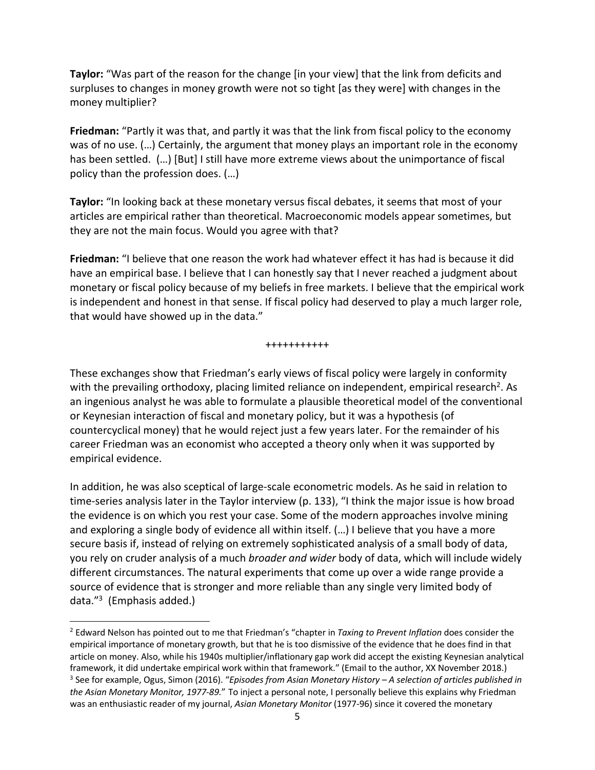**Taylor:** "Was part of the reason for the change [in your view] that the link from deficits and surpluses to changes in money growth were not so tight [as they were] with changes in the money multiplier?

**Friedman:** "Partly it was that, and partly it was that the link from fiscal policy to the economy was of no use. (…) Certainly, the argument that money plays an important role in the economy has been settled. (…) [But] I still have more extreme views about the unimportance of fiscal policy than the profession does. (…)

**Taylor:** "In looking back at these monetary versus fiscal debates, it seems that most of your articles are empirical rather than theoretical. Macroeconomic models appear sometimes, but they are not the main focus. Would you agree with that?

**Friedman:** "I believe that one reason the work had whatever effect it has had is because it did have an empirical base. I believe that I can honestly say that I never reached a judgment about monetary or fiscal policy because of my beliefs in free markets. I believe that the empirical work is independent and honest in that sense. If fiscal policy had deserved to play a much larger role, that would have showed up in the data."

+++++++++++

These exchanges show that Friedman's early views of fiscal policy were largely in conformity with the prevailing orthodoxy, placing limited reliance on independent, empirical research<sup>2</sup>. As an ingenious analyst he was able to formulate a plausible theoretical model of the conventional or Keynesian interaction of fiscal and monetary policy, but it was a hypothesis (of countercyclical money) that he would reject just a few years later. For the remainder of his career Friedman was an economist who accepted a theory only when it was supported by empirical evidence.

In addition, he was also sceptical of large-scale econometric models. As he said in relation to time-series analysis later in the Taylor interview (p. 133), "I think the major issue is how broad the evidence is on which you rest your case. Some of the modern approaches involve mining and exploring a single body of evidence all within itself. (…) I believe that you have a more secure basis if, instead of relying on extremely sophisticated analysis of a small body of data, you rely on cruder analysis of a much *broader and wider* body of data, which will include widely different circumstances. The natural experiments that come up over a wide range provide a source of evidence that is stronger and more reliable than any single very limited body of data."3 (Emphasis added.)

<sup>2</sup> Edward Nelson has pointed out to me that Friedman's "chapter in *Taxing to Prevent Inflation* does consider the empirical importance of monetary growth, but that he is too dismissive of the evidence that he does find in that article on money. Also, while his 1940s multiplier/inflationary gap work did accept the existing Keynesian analytical framework, it did undertake empirical work within that framework." (Email to the author, XX November 2018.) <sup>3</sup> See for example, Ogus, Simon (2016). "*Episodes from Asian Monetary History – A selection of articles published in the Asian Monetary Monitor, 1977-89.*" To inject a personal note, I personally believe this explains why Friedman was an enthusiastic reader of my journal, *Asian Monetary Monitor* (1977-96) since it covered the monetary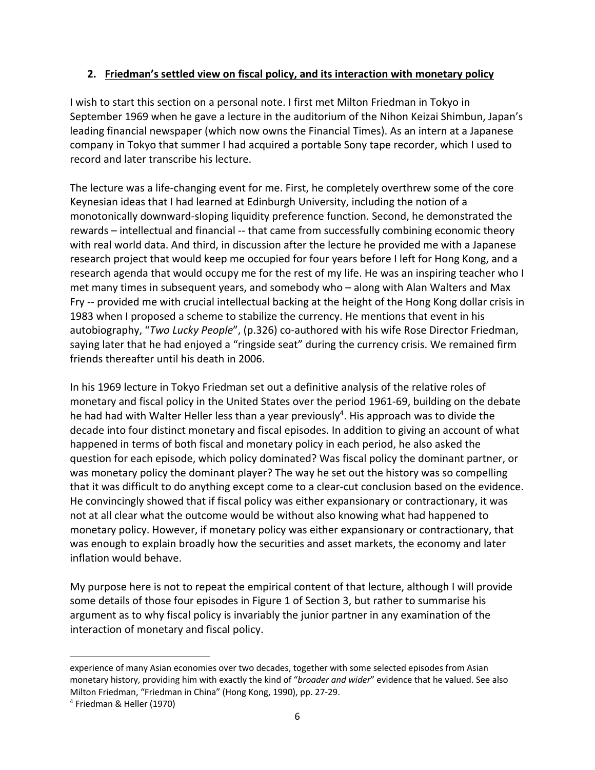### **2. Friedman's settled view on fiscal policy, and its interaction with monetary policy**

I wish to start this section on a personal note. I first met Milton Friedman in Tokyo in September 1969 when he gave a lecture in the auditorium of the Nihon Keizai Shimbun, Japan's leading financial newspaper (which now owns the Financial Times). As an intern at a Japanese company in Tokyo that summer I had acquired a portable Sony tape recorder, which I used to record and later transcribe his lecture.

The lecture was a life-changing event for me. First, he completely overthrew some of the core Keynesian ideas that I had learned at Edinburgh University, including the notion of a monotonically downward-sloping liquidity preference function. Second, he demonstrated the rewards – intellectual and financial -- that came from successfully combining economic theory with real world data. And third, in discussion after the lecture he provided me with a Japanese research project that would keep me occupied for four years before I left for Hong Kong, and a research agenda that would occupy me for the rest of my life. He was an inspiring teacher who I met many times in subsequent years, and somebody who – along with Alan Walters and Max Fry -- provided me with crucial intellectual backing at the height of the Hong Kong dollar crisis in 1983 when I proposed a scheme to stabilize the currency. He mentions that event in his autobiography, "*Two Lucky People*", (p.326) co-authored with his wife Rose Director Friedman, saying later that he had enjoyed a "ringside seat" during the currency crisis. We remained firm friends thereafter until his death in 2006.

In his 1969 lecture in Tokyo Friedman set out a definitive analysis of the relative roles of monetary and fiscal policy in the United States over the period 1961-69, building on the debate he had had with Walter Heller less than a year previously<sup>4</sup>. His approach was to divide the decade into four distinct monetary and fiscal episodes. In addition to giving an account of what happened in terms of both fiscal and monetary policy in each period, he also asked the question for each episode, which policy dominated? Was fiscal policy the dominant partner, or was monetary policy the dominant player? The way he set out the history was so compelling that it was difficult to do anything except come to a clear-cut conclusion based on the evidence. He convincingly showed that if fiscal policy was either expansionary or contractionary, it was not at all clear what the outcome would be without also knowing what had happened to monetary policy. However, if monetary policy was either expansionary or contractionary, that was enough to explain broadly how the securities and asset markets, the economy and later inflation would behave.

My purpose here is not to repeat the empirical content of that lecture, although I will provide some details of those four episodes in Figure 1 of Section 3, but rather to summarise his argument as to why fiscal policy is invariably the junior partner in any examination of the interaction of monetary and fiscal policy.

experience of many Asian economies over two decades, together with some selected episodes from Asian monetary history, providing him with exactly the kind of "*broader and wider*" evidence that he valued. See also Milton Friedman, "Friedman in China" (Hong Kong, 1990), pp. 27-29.

<sup>4</sup> Friedman & Heller (1970)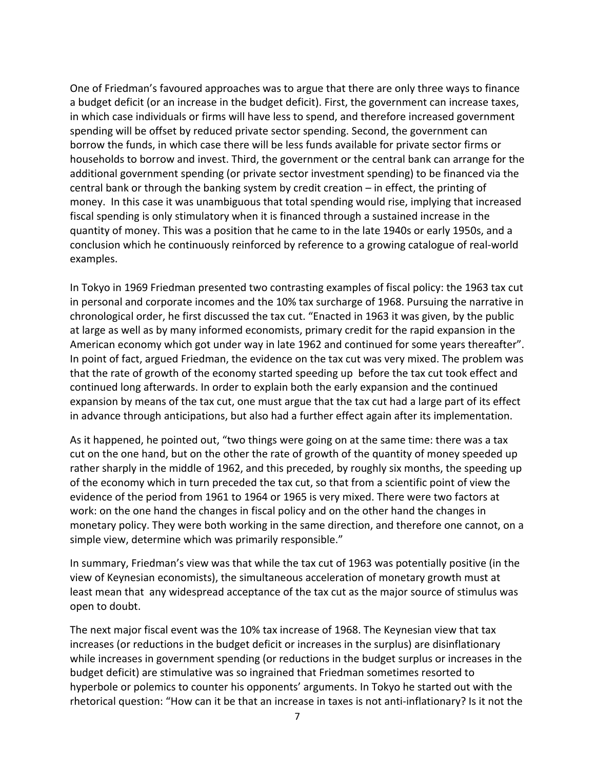One of Friedman's favoured approaches was to argue that there are only three ways to finance a budget deficit (or an increase in the budget deficit). First, the government can increase taxes, in which case individuals or firms will have less to spend, and therefore increased government spending will be offset by reduced private sector spending. Second, the government can borrow the funds, in which case there will be less funds available for private sector firms or households to borrow and invest. Third, the government or the central bank can arrange for the additional government spending (or private sector investment spending) to be financed via the central bank or through the banking system by credit creation – in effect, the printing of money. In this case it was unambiguous that total spending would rise, implying that increased fiscal spending is only stimulatory when it is financed through a sustained increase in the quantity of money. This was a position that he came to in the late 1940s or early 1950s, and a conclusion which he continuously reinforced by reference to a growing catalogue of real-world examples.

In Tokyo in 1969 Friedman presented two contrasting examples of fiscal policy: the 1963 tax cut in personal and corporate incomes and the 10% tax surcharge of 1968. Pursuing the narrative in chronological order, he first discussed the tax cut. "Enacted in 1963 it was given, by the public at large as well as by many informed economists, primary credit for the rapid expansion in the American economy which got under way in late 1962 and continued for some years thereafter". In point of fact, argued Friedman, the evidence on the tax cut was very mixed. The problem was that the rate of growth of the economy started speeding up before the tax cut took effect and continued long afterwards. In order to explain both the early expansion and the continued expansion by means of the tax cut, one must argue that the tax cut had a large part of its effect in advance through anticipations, but also had a further effect again after its implementation.

As it happened, he pointed out, "two things were going on at the same time: there was a tax cut on the one hand, but on the other the rate of growth of the quantity of money speeded up rather sharply in the middle of 1962, and this preceded, by roughly six months, the speeding up of the economy which in turn preceded the tax cut, so that from a scientific point of view the evidence of the period from 1961 to 1964 or 1965 is very mixed. There were two factors at work: on the one hand the changes in fiscal policy and on the other hand the changes in monetary policy. They were both working in the same direction, and therefore one cannot, on a simple view, determine which was primarily responsible."

In summary, Friedman's view was that while the tax cut of 1963 was potentially positive (in the view of Keynesian economists), the simultaneous acceleration of monetary growth must at least mean that any widespread acceptance of the tax cut as the major source of stimulus was open to doubt.

The next major fiscal event was the 10% tax increase of 1968. The Keynesian view that tax increases (or reductions in the budget deficit or increases in the surplus) are disinflationary while increases in government spending (or reductions in the budget surplus or increases in the budget deficit) are stimulative was so ingrained that Friedman sometimes resorted to hyperbole or polemics to counter his opponents' arguments. In Tokyo he started out with the rhetorical question: "How can it be that an increase in taxes is not anti-inflationary? Is it not the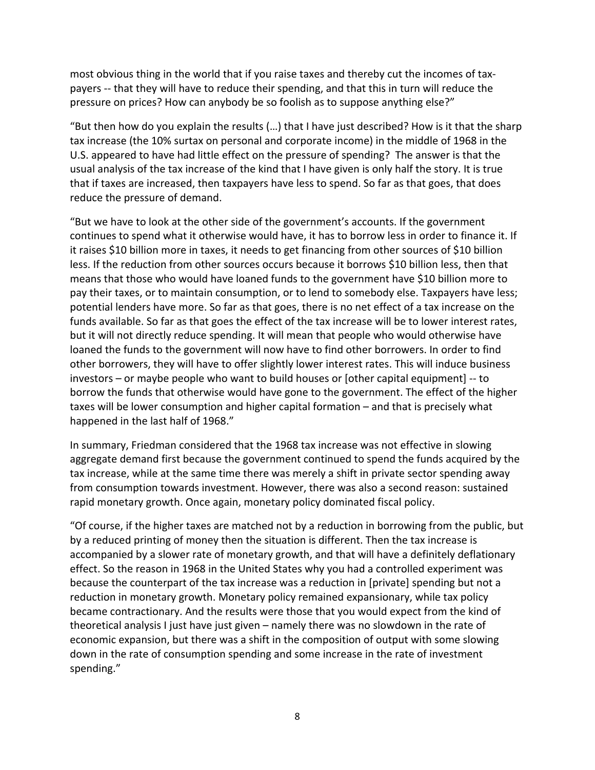most obvious thing in the world that if you raise taxes and thereby cut the incomes of taxpayers -- that they will have to reduce their spending, and that this in turn will reduce the pressure on prices? How can anybody be so foolish as to suppose anything else?"

"But then how do you explain the results (…) that I have just described? How is it that the sharp tax increase (the 10% surtax on personal and corporate income) in the middle of 1968 in the U.S. appeared to have had little effect on the pressure of spending? The answer is that the usual analysis of the tax increase of the kind that I have given is only half the story. It is true that if taxes are increased, then taxpayers have less to spend. So far as that goes, that does reduce the pressure of demand.

"But we have to look at the other side of the government's accounts. If the government continues to spend what it otherwise would have, it has to borrow less in order to finance it. If it raises \$10 billion more in taxes, it needs to get financing from other sources of \$10 billion less. If the reduction from other sources occurs because it borrows \$10 billion less, then that means that those who would have loaned funds to the government have \$10 billion more to pay their taxes, or to maintain consumption, or to lend to somebody else. Taxpayers have less; potential lenders have more. So far as that goes, there is no net effect of a tax increase on the funds available. So far as that goes the effect of the tax increase will be to lower interest rates, but it will not directly reduce spending. It will mean that people who would otherwise have loaned the funds to the government will now have to find other borrowers. In order to find other borrowers, they will have to offer slightly lower interest rates. This will induce business investors – or maybe people who want to build houses or [other capital equipment] -- to borrow the funds that otherwise would have gone to the government. The effect of the higher taxes will be lower consumption and higher capital formation – and that is precisely what happened in the last half of 1968."

In summary, Friedman considered that the 1968 tax increase was not effective in slowing aggregate demand first because the government continued to spend the funds acquired by the tax increase, while at the same time there was merely a shift in private sector spending away from consumption towards investment. However, there was also a second reason: sustained rapid monetary growth. Once again, monetary policy dominated fiscal policy.

"Of course, if the higher taxes are matched not by a reduction in borrowing from the public, but by a reduced printing of money then the situation is different. Then the tax increase is accompanied by a slower rate of monetary growth, and that will have a definitely deflationary effect. So the reason in 1968 in the United States why you had a controlled experiment was because the counterpart of the tax increase was a reduction in [private] spending but not a reduction in monetary growth. Monetary policy remained expansionary, while tax policy became contractionary. And the results were those that you would expect from the kind of theoretical analysis I just have just given – namely there was no slowdown in the rate of economic expansion, but there was a shift in the composition of output with some slowing down in the rate of consumption spending and some increase in the rate of investment spending."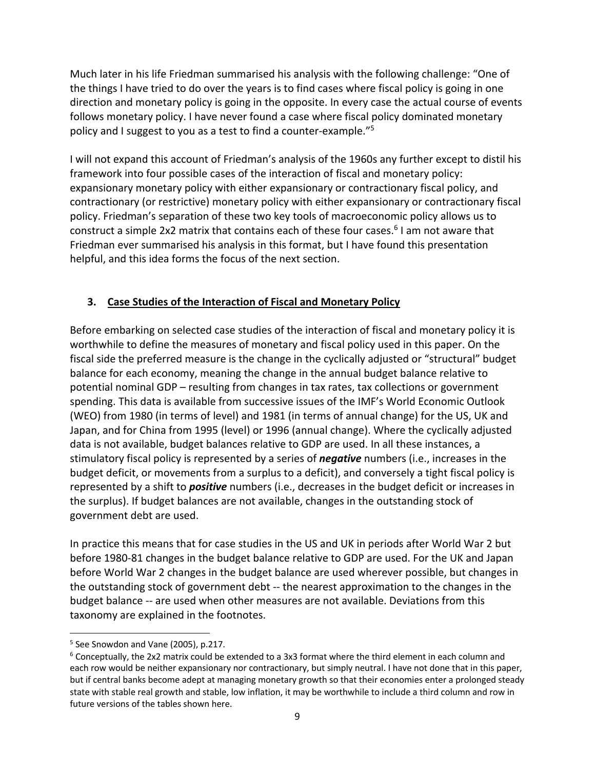Much later in his life Friedman summarised his analysis with the following challenge: "One of the things I have tried to do over the years is to find cases where fiscal policy is going in one direction and monetary policy is going in the opposite. In every case the actual course of events follows monetary policy. I have never found a case where fiscal policy dominated monetary policy and I suggest to you as a test to find a counter-example."5

I will not expand this account of Friedman's analysis of the 1960s any further except to distil his framework into four possible cases of the interaction of fiscal and monetary policy: expansionary monetary policy with either expansionary or contractionary fiscal policy, and contractionary (or restrictive) monetary policy with either expansionary or contractionary fiscal policy. Friedman's separation of these two key tools of macroeconomic policy allows us to construct a simple 2x2 matrix that contains each of these four cases.6 I am not aware that Friedman ever summarised his analysis in this format, but I have found this presentation helpful, and this idea forms the focus of the next section.

### **3. Case Studies of the Interaction of Fiscal and Monetary Policy**

Before embarking on selected case studies of the interaction of fiscal and monetary policy it is worthwhile to define the measures of monetary and fiscal policy used in this paper. On the fiscal side the preferred measure is the change in the cyclically adjusted or "structural" budget balance for each economy, meaning the change in the annual budget balance relative to potential nominal GDP – resulting from changes in tax rates, tax collections or government spending. This data is available from successive issues of the IMF's World Economic Outlook (WEO) from 1980 (in terms of level) and 1981 (in terms of annual change) for the US, UK and Japan, and for China from 1995 (level) or 1996 (annual change). Where the cyclically adjusted data is not available, budget balances relative to GDP are used. In all these instances, a stimulatory fiscal policy is represented by a series of *negative* numbers (i.e., increases in the budget deficit, or movements from a surplus to a deficit), and conversely a tight fiscal policy is represented by a shift to *positive* numbers (i.e., decreases in the budget deficit or increases in the surplus). If budget balances are not available, changes in the outstanding stock of government debt are used.

In practice this means that for case studies in the US and UK in periods after World War 2 but before 1980-81 changes in the budget balance relative to GDP are used. For the UK and Japan before World War 2 changes in the budget balance are used wherever possible, but changes in the outstanding stock of government debt -- the nearest approximation to the changes in the budget balance -- are used when other measures are not available. Deviations from this taxonomy are explained in the footnotes.

 $5$  See Snowdon and Vane (2005), p.217.

<sup>6</sup> Conceptually, the 2x2 matrix could be extended to a 3x3 format where the third element in each column and each row would be neither expansionary nor contractionary, but simply neutral. I have not done that in this paper, but if central banks become adept at managing monetary growth so that their economies enter a prolonged steady state with stable real growth and stable, low inflation, it may be worthwhile to include a third column and row in future versions of the tables shown here.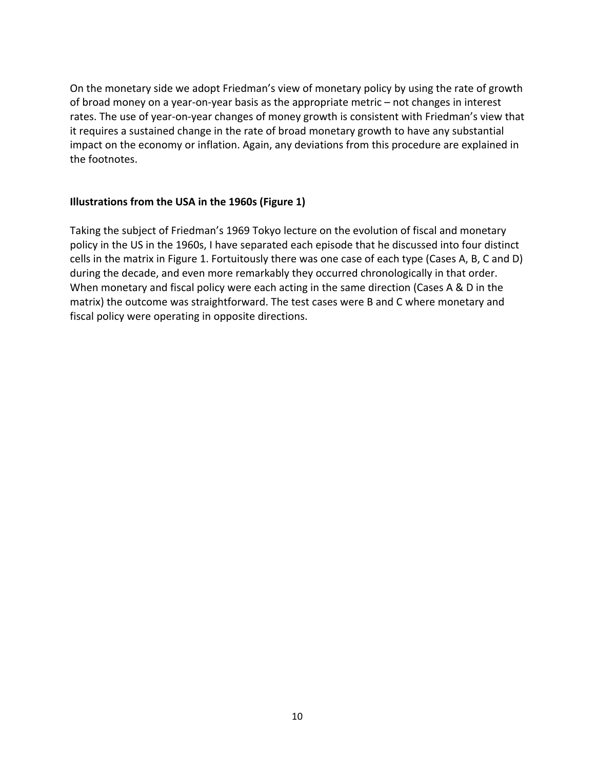On the monetary side we adopt Friedman's view of monetary policy by using the rate of growth of broad money on a year-on-year basis as the appropriate metric – not changes in interest rates. The use of year-on-year changes of money growth is consistent with Friedman's view that it requires a sustained change in the rate of broad monetary growth to have any substantial impact on the economy or inflation. Again, any deviations from this procedure are explained in the footnotes.

#### **Illustrations from the USA in the 1960s (Figure 1)**

Taking the subject of Friedman's 1969 Tokyo lecture on the evolution of fiscal and monetary policy in the US in the 1960s, I have separated each episode that he discussed into four distinct cells in the matrix in Figure 1. Fortuitously there was one case of each type (Cases A, B, C and D) during the decade, and even more remarkably they occurred chronologically in that order. When monetary and fiscal policy were each acting in the same direction (Cases A & D in the matrix) the outcome was straightforward. The test cases were B and C where monetary and fiscal policy were operating in opposite directions.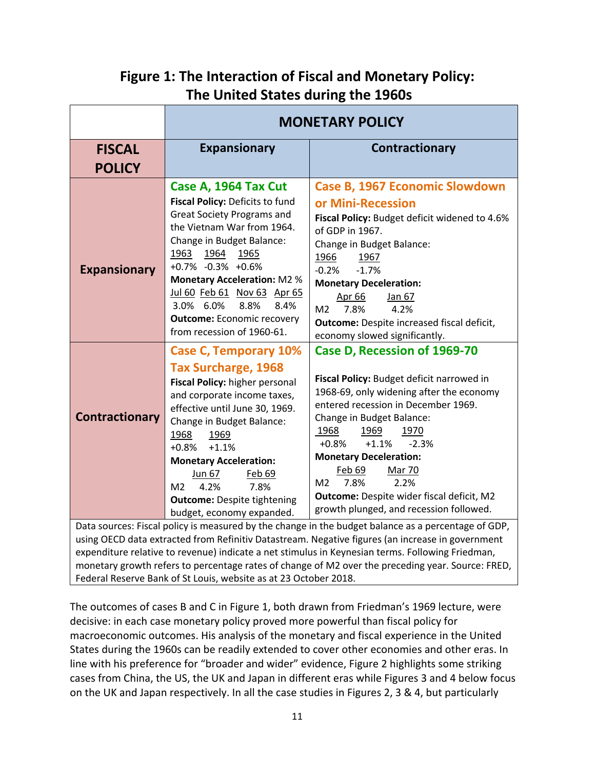### **Figure 1: The Interaction of Fiscal and Monetary Policy: The United States during the 1960s**

|                                                                                                                                                                                                         | <b>MONETARY POLICY</b>                                                                                                                                                                                                                                                                                                                                                                   |                                                                                                                                                                                                                                                                                                                                                                                                                              |
|---------------------------------------------------------------------------------------------------------------------------------------------------------------------------------------------------------|------------------------------------------------------------------------------------------------------------------------------------------------------------------------------------------------------------------------------------------------------------------------------------------------------------------------------------------------------------------------------------------|------------------------------------------------------------------------------------------------------------------------------------------------------------------------------------------------------------------------------------------------------------------------------------------------------------------------------------------------------------------------------------------------------------------------------|
| <b>FISCAL</b>                                                                                                                                                                                           | <b>Expansionary</b>                                                                                                                                                                                                                                                                                                                                                                      | Contractionary                                                                                                                                                                                                                                                                                                                                                                                                               |
| <b>POLICY</b>                                                                                                                                                                                           |                                                                                                                                                                                                                                                                                                                                                                                          |                                                                                                                                                                                                                                                                                                                                                                                                                              |
| <b>Expansionary</b>                                                                                                                                                                                     | Case A, 1964 Tax Cut<br><b>Fiscal Policy: Deficits to fund</b><br><b>Great Society Programs and</b><br>the Vietnam War from 1964.<br>Change in Budget Balance:<br>1963<br>1964<br>1965<br>+0.7% -0.3% +0.6%<br><b>Monetary Acceleration: M2 %</b><br>Jul 60 Feb 61 Nov 63 Apr 65<br>8.8%<br>8.4%<br>3.0% 6.0%<br><b>Outcome: Economic recovery</b><br>from recession of 1960-61.         | <b>Case B, 1967 Economic Slowdown</b><br>or Mini-Recession<br>Fiscal Policy: Budget deficit widened to 4.6%<br>of GDP in 1967.<br>Change in Budget Balance:<br>1966<br>1967<br>$-1.7%$<br>$-0.2%$<br><b>Monetary Deceleration:</b><br>Jan 67<br>Apr 66<br>M <sub>2</sub><br>7.8%<br>4.2%<br><b>Outcome:</b> Despite increased fiscal deficit,<br>economy slowed significantly.                                               |
| <b>Contractionary</b>                                                                                                                                                                                   | <b>Case C, Temporary 10%</b><br><b>Tax Surcharge, 1968</b><br>Fiscal Policy: higher personal<br>and corporate income taxes,<br>effective until June 30, 1969.<br>Change in Budget Balance:<br>1968<br>1969<br>+0.8%<br>$+1.1%$<br><b>Monetary Acceleration:</b><br>Feb 69<br>Jun 67<br>4.2%<br>7.8%<br>M <sub>2</sub><br><b>Outcome: Despite tightening</b><br>budget, economy expanded. | Case D, Recession of 1969-70<br>Fiscal Policy: Budget deficit narrowed in<br>1968-69, only widening after the economy<br>entered recession in December 1969.<br>Change in Budget Balance:<br>1968<br>1969<br>1970<br>$+1.1%$<br>$-2.3%$<br>$+0.8%$<br><b>Monetary Deceleration:</b><br>Feb 69<br><b>Mar 70</b><br>2.2%<br>7.8%<br>M2<br>Outcome: Despite wider fiscal deficit, M2<br>growth plunged, and recession followed. |
| Data sources: Fiscal policy is measured by the change in the budget balance as a percentage of GDP,<br>using OECD data extracted from Refinitiv Datastream. Negative figures (an increase in government |                                                                                                                                                                                                                                                                                                                                                                                          |                                                                                                                                                                                                                                                                                                                                                                                                                              |

expenditure relative to revenue) indicate a net stimulus in Keynesian terms. Following Friedman, monetary growth refers to percentage rates of change of M2 over the preceding year. Source: FRED, Federal Reserve Bank of St Louis, website as at 23 October 2018.

The outcomes of cases B and C in Figure 1, both drawn from Friedman's 1969 lecture, were decisive: in each case monetary policy proved more powerful than fiscal policy for macroeconomic outcomes. His analysis of the monetary and fiscal experience in the United States during the 1960s can be readily extended to cover other economies and other eras. In line with his preference for "broader and wider" evidence, Figure 2 highlights some striking cases from China, the US, the UK and Japan in different eras while Figures 3 and 4 below focus on the UK and Japan respectively. In all the case studies in Figures 2, 3 & 4, but particularly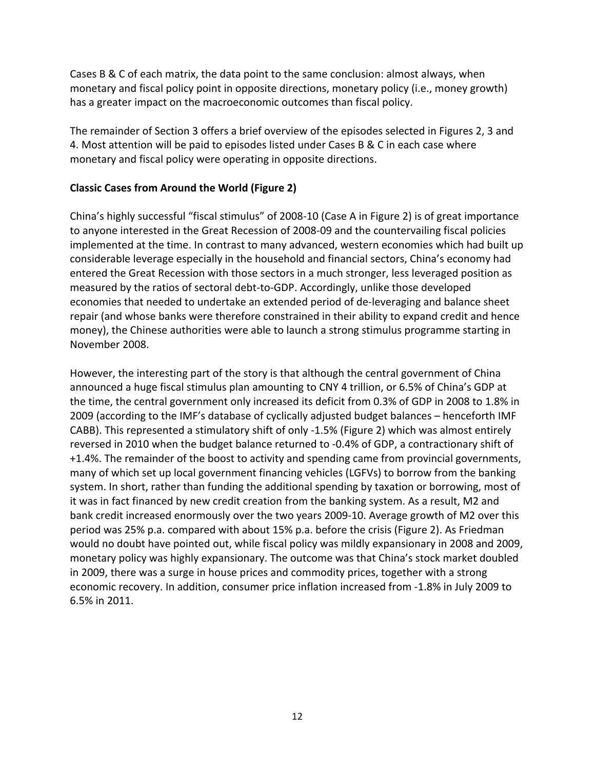Cases B & C of each matrix, the data point to the same conclusion: almost always, when monetary and fiscal policy point in opposite directions, monetary policy (i.e., money growth) has a greater impact on the macroeconomic outcomes than fiscal policy.

The remainder of Section 3 offers a brief overview of the episodes selected in Figures 2, 3 and 4. Most attention will be paid to episodes listed under Cases B & C in each case where monetary and fiscal policy were operating in opposite directions.

### **Classic Cases from Around the World (Figure 2)**

China's highly successful "fiscal stimulus" of 2008-10 (Case A in Figure 2) is of great importance to anyone interested in the Great Recession of 2008-09 and the countervailing fiscal policies implemented at the time. In contrast to many advanced, western economies which had built up considerable leverage especially in the household and financial sectors, China's economy had entered the Great Recession with those sectors in a much stronger, less leveraged position as measured by the ratios of sectoral debt-to-GDP. Accordingly, unlike those developed economies that needed to undertake an extended period of de-leveraging and balance sheet repair (and whose banks were therefore constrained in their ability to expand credit and hence money), the Chinese authorities were able to launch a strong stimulus programme starting in November 2008.

However, the interesting part of the story is that although the central government of China announced a huge fiscal stimulus plan amounting to CNY 4 trillion, or 6.5% of China's GDP at the time, the central government only increased its deficit from 0.3% of GDP in 2008 to 1.8% in 2009 (according to the IMF's database of cyclically adjusted budget balances – henceforth IMF CABB). This represented a stimulatory shift of only -1.5% (Figure 2) which was almost entirely reversed in 2010 when the budget balance returned to -0.4% of GDP, a contractionary shift of +1.4%. The remainder of the boost to activity and spending came from provincial governments, many of which set up local government financing vehicles (LGFVs) to borrow from the banking system. In short, rather than funding the additional spending by taxation or borrowing, most of it was in fact financed by new credit creation from the banking system. As a result, M2 and bank credit increased enormously over the two years 2009-10. Average growth of M2 over this period was 25% p.a. compared with about 15% p.a. before the crisis (Figure 2). As Friedman would no doubt have pointed out, while fiscal policy was mildly expansionary in 2008 and 2009, monetary policy was highly expansionary. The outcome was that China's stock market doubled in 2009, there was a surge in house prices and commodity prices, together with a strong economic recovery. In addition, consumer price inflation increased from -1.8% in July 2009 to 6.5% in 2011.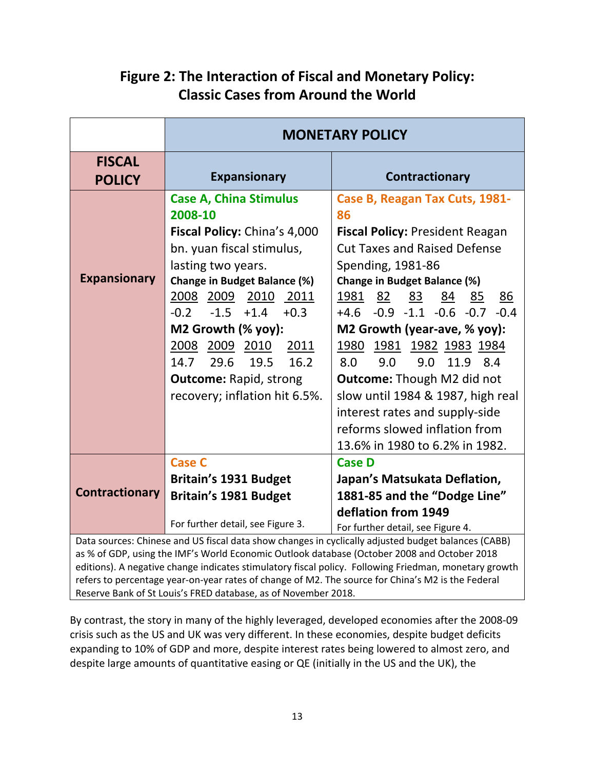|                                                                                                                                                                                                                                                                                                             | <b>MONETARY POLICY</b>                                                                                                                                                                                                                                                                                                                                                       |                                                                                                                                                                                                                                                                                                                                                                                                                                             |
|-------------------------------------------------------------------------------------------------------------------------------------------------------------------------------------------------------------------------------------------------------------------------------------------------------------|------------------------------------------------------------------------------------------------------------------------------------------------------------------------------------------------------------------------------------------------------------------------------------------------------------------------------------------------------------------------------|---------------------------------------------------------------------------------------------------------------------------------------------------------------------------------------------------------------------------------------------------------------------------------------------------------------------------------------------------------------------------------------------------------------------------------------------|
| <b>FISCAL</b><br><b>POLICY</b>                                                                                                                                                                                                                                                                              | <b>Expansionary</b>                                                                                                                                                                                                                                                                                                                                                          | <b>Contractionary</b>                                                                                                                                                                                                                                                                                                                                                                                                                       |
| <b>Expansionary</b>                                                                                                                                                                                                                                                                                         | <b>Case A, China Stimulus</b><br>2008-10<br>Fiscal Policy: China's 4,000<br>bn. yuan fiscal stimulus,<br>lasting two years.<br>Change in Budget Balance (%)<br>2008 2009 2010 2011<br>$-1.5$<br>$+1.4$<br>$-0.2$<br>$+0.3$<br>M2 Growth (% yoy):<br>2008 2009 2010<br>2011<br>16.2<br>14.7<br>29.6<br>19.5<br><b>Outcome: Rapid, strong</b><br>recovery; inflation hit 6.5%. | Case B, Reagan Tax Cuts, 1981-<br>86<br><b>Fiscal Policy: President Reagan</b><br><b>Cut Taxes and Raised Defense</b><br>Spending, 1981-86<br><b>Change in Budget Balance (%)</b><br>1981<br>82<br>84<br>83<br>85<br><u>86</u><br>$+4.6$ -0.9 -1.1 -0.6 -0.7 -0.4<br>M2 Growth (year-ave, % yoy):<br>1980 1981 1982 1983 1984<br>9.0<br>9.0<br>11.9<br>8.0<br>8.4<br><b>Outcome:</b> Though M2 did not<br>slow until 1984 & 1987, high real |
|                                                                                                                                                                                                                                                                                                             |                                                                                                                                                                                                                                                                                                                                                                              | interest rates and supply-side<br>reforms slowed inflation from<br>13.6% in 1980 to 6.2% in 1982.                                                                                                                                                                                                                                                                                                                                           |
| <b>Contractionary</b>                                                                                                                                                                                                                                                                                       | <b>Case C</b><br><b>Britain's 1931 Budget</b><br><b>Britain's 1981 Budget</b><br>For further detail, see Figure 3.                                                                                                                                                                                                                                                           | <b>Case D</b><br>Japan's Matsukata Deflation,<br>1881-85 and the "Dodge Line"<br>deflation from 1949<br>For further detail, see Figure 4.                                                                                                                                                                                                                                                                                                   |
| Data sources: Chinese and US fiscal data show changes in cyclically adjusted budget balances (CABB)<br>as % of GDP, using the IMF's World Economic Outlook database (October 2008 and October 2018<br>editions). A negative change indicates stimulatory fiscal policy. Following Friedman, monetary growth |                                                                                                                                                                                                                                                                                                                                                                              |                                                                                                                                                                                                                                                                                                                                                                                                                                             |

### **Figure 2: The Interaction of Fiscal and Monetary Policy: Classic Cases from Around the World**

Reserve Bank of St Louis's FRED database, as of November 2018. By contrast, the story in many of the highly leveraged, developed economies after the 2008-09 crisis such as the US and UK was very different. In these economies, despite budget deficits expanding to 10% of GDP and more, despite interest rates being lowered to almost zero, and

despite large amounts of quantitative easing or QE (initially in the US and the UK), the

refers to percentage year-on-year rates of change of M2. The source for China's M2 is the Federal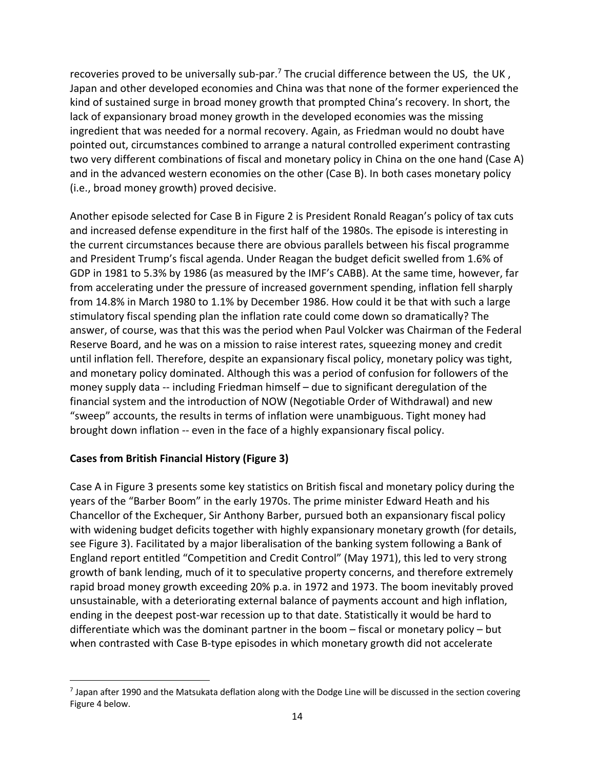recoveries proved to be universally sub-par.<sup>7</sup> The crucial difference between the US, the UK, Japan and other developed economies and China was that none of the former experienced the kind of sustained surge in broad money growth that prompted China's recovery. In short, the lack of expansionary broad money growth in the developed economies was the missing ingredient that was needed for a normal recovery. Again, as Friedman would no doubt have pointed out, circumstances combined to arrange a natural controlled experiment contrasting two very different combinations of fiscal and monetary policy in China on the one hand (Case A) and in the advanced western economies on the other (Case B). In both cases monetary policy (i.e., broad money growth) proved decisive.

Another episode selected for Case B in Figure 2 is President Ronald Reagan's policy of tax cuts and increased defense expenditure in the first half of the 1980s. The episode is interesting in the current circumstances because there are obvious parallels between his fiscal programme and President Trump's fiscal agenda. Under Reagan the budget deficit swelled from 1.6% of GDP in 1981 to 5.3% by 1986 (as measured by the IMF's CABB). At the same time, however, far from accelerating under the pressure of increased government spending, inflation fell sharply from 14.8% in March 1980 to 1.1% by December 1986. How could it be that with such a large stimulatory fiscal spending plan the inflation rate could come down so dramatically? The answer, of course, was that this was the period when Paul Volcker was Chairman of the Federal Reserve Board, and he was on a mission to raise interest rates, squeezing money and credit until inflation fell. Therefore, despite an expansionary fiscal policy, monetary policy was tight, and monetary policy dominated. Although this was a period of confusion for followers of the money supply data -- including Friedman himself – due to significant deregulation of the financial system and the introduction of NOW (Negotiable Order of Withdrawal) and new "sweep" accounts, the results in terms of inflation were unambiguous. Tight money had brought down inflation -- even in the face of a highly expansionary fiscal policy.

### **Cases from British Financial History (Figure 3)**

Case A in Figure 3 presents some key statistics on British fiscal and monetary policy during the years of the "Barber Boom" in the early 1970s. The prime minister Edward Heath and his Chancellor of the Exchequer, Sir Anthony Barber, pursued both an expansionary fiscal policy with widening budget deficits together with highly expansionary monetary growth (for details, see Figure 3). Facilitated by a major liberalisation of the banking system following a Bank of England report entitled "Competition and Credit Control" (May 1971), this led to very strong growth of bank lending, much of it to speculative property concerns, and therefore extremely rapid broad money growth exceeding 20% p.a. in 1972 and 1973. The boom inevitably proved unsustainable, with a deteriorating external balance of payments account and high inflation, ending in the deepest post-war recession up to that date. Statistically it would be hard to differentiate which was the dominant partner in the boom – fiscal or monetary policy – but when contrasted with Case B-type episodes in which monetary growth did not accelerate

 $<sup>7</sup>$  Japan after 1990 and the Matsukata deflation along with the Dodge Line will be discussed in the section covering</sup> Figure 4 below.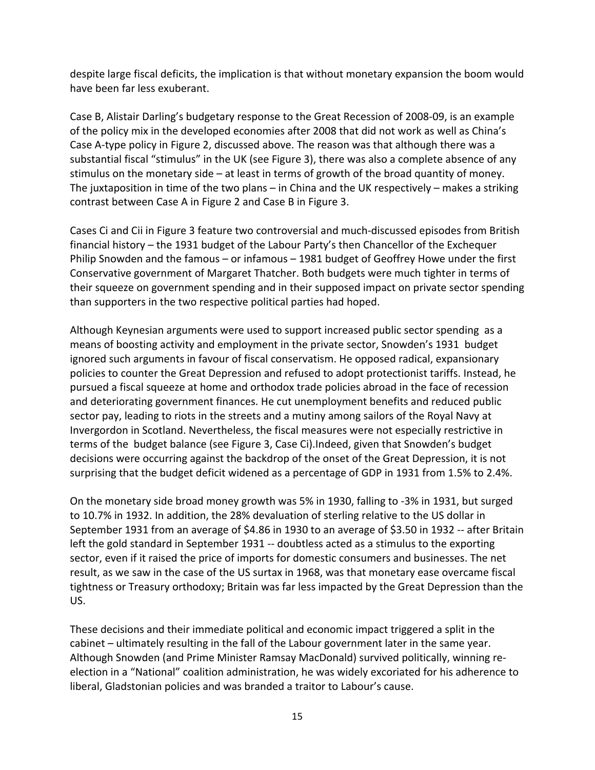despite large fiscal deficits, the implication is that without monetary expansion the boom would have been far less exuberant.

Case B, Alistair Darling's budgetary response to the Great Recession of 2008-09, is an example of the policy mix in the developed economies after 2008 that did not work as well as China's Case A-type policy in Figure 2, discussed above. The reason was that although there was a substantial fiscal "stimulus" in the UK (see Figure 3), there was also a complete absence of any stimulus on the monetary side – at least in terms of growth of the broad quantity of money. The juxtaposition in time of the two plans – in China and the UK respectively – makes a striking contrast between Case A in Figure 2 and Case B in Figure 3.

Cases Ci and Cii in Figure 3 feature two controversial and much-discussed episodes from British financial history – the 1931 budget of the Labour Party's then Chancellor of the Exchequer Philip Snowden and the famous – or infamous – 1981 budget of Geoffrey Howe under the first Conservative government of Margaret Thatcher. Both budgets were much tighter in terms of their squeeze on government spending and in their supposed impact on private sector spending than supporters in the two respective political parties had hoped.

Although Keynesian arguments were used to support increased public sector spending as a means of boosting activity and employment in the private sector, Snowden's 1931 budget ignored such arguments in favour of fiscal conservatism. He opposed radical, expansionary policies to counter the Great Depression and refused to adopt protectionist tariffs. Instead, he pursued a fiscal squeeze at home and orthodox trade policies abroad in the face of recession and deteriorating government finances. He cut unemployment benefits and reduced public sector pay, leading to riots in the streets and a mutiny among sailors of the Royal Navy at Invergordon in Scotland. Nevertheless, the fiscal measures were not especially restrictive in terms of the budget balance (see Figure 3, Case Ci).Indeed, given that Snowden's budget decisions were occurring against the backdrop of the onset of the Great Depression, it is not surprising that the budget deficit widened as a percentage of GDP in 1931 from 1.5% to 2.4%.

On the monetary side broad money growth was 5% in 1930, falling to -3% in 1931, but surged to 10.7% in 1932. In addition, the 28% devaluation of sterling relative to the US dollar in September 1931 from an average of \$4.86 in 1930 to an average of \$3.50 in 1932 -- after Britain left the gold standard in September 1931 -- doubtless acted as a stimulus to the exporting sector, even if it raised the price of imports for domestic consumers and businesses. The net result, as we saw in the case of the US surtax in 1968, was that monetary ease overcame fiscal tightness or Treasury orthodoxy; Britain was far less impacted by the Great Depression than the US.

These decisions and their immediate political and economic impact triggered a split in the cabinet – ultimately resulting in the fall of the Labour government later in the same year. Although Snowden (and Prime Minister Ramsay MacDonald) survived politically, winning reelection in a "National" coalition administration, he was widely excoriated for his adherence to liberal, Gladstonian policies and was branded a traitor to Labour's cause.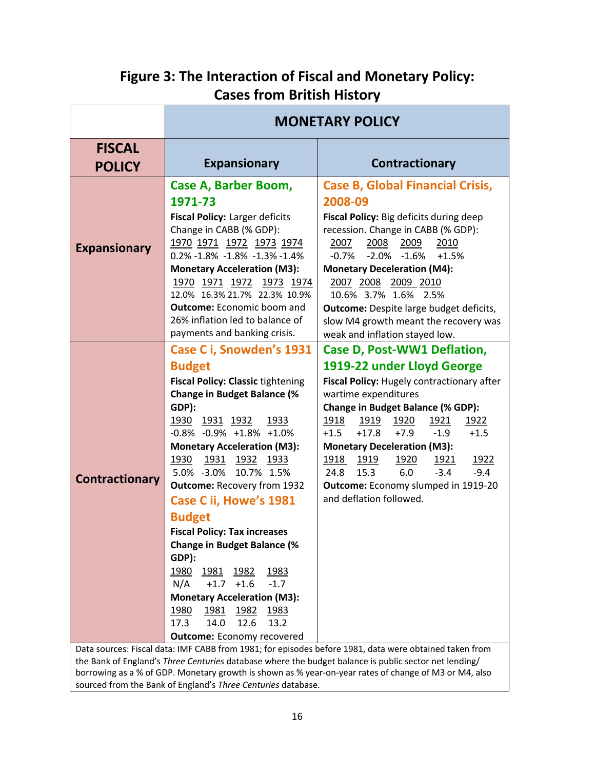## **Figure 3: The Interaction of Fiscal and Monetary Policy: Cases from British History**

|                       | <b>MONETARY POLICY</b>                                                                                                                                                                                                                                                                                                                                                                                                                                                                                                                                                                                                                                                             |                                                                                                                                                                                                                                                                                                                                                                                                                                                                                            |
|-----------------------|------------------------------------------------------------------------------------------------------------------------------------------------------------------------------------------------------------------------------------------------------------------------------------------------------------------------------------------------------------------------------------------------------------------------------------------------------------------------------------------------------------------------------------------------------------------------------------------------------------------------------------------------------------------------------------|--------------------------------------------------------------------------------------------------------------------------------------------------------------------------------------------------------------------------------------------------------------------------------------------------------------------------------------------------------------------------------------------------------------------------------------------------------------------------------------------|
| <b>FISCAL</b>         |                                                                                                                                                                                                                                                                                                                                                                                                                                                                                                                                                                                                                                                                                    |                                                                                                                                                                                                                                                                                                                                                                                                                                                                                            |
| <b>POLICY</b>         | <b>Expansionary</b>                                                                                                                                                                                                                                                                                                                                                                                                                                                                                                                                                                                                                                                                | Contractionary                                                                                                                                                                                                                                                                                                                                                                                                                                                                             |
| <b>Expansionary</b>   | Case A, Barber Boom,<br>1971-73<br>Fiscal Policy: Larger deficits<br>Change in CABB (% GDP):<br>1970 1971 1972 1973 1974<br>$0.2\% -1.8\% -1.8\% -1.3\% -1.4\%$<br><b>Monetary Acceleration (M3):</b><br>1970 1971 1972<br>1973 1974<br>12.0% 16.3% 21.7% 22.3% 10.9%<br><b>Outcome:</b> Economic boom and<br>26% inflation led to balance of<br>payments and banking crisis.                                                                                                                                                                                                                                                                                                      | <b>Case B, Global Financial Crisis,</b><br>2008-09<br>Fiscal Policy: Big deficits during deep<br>recession. Change in CABB (% GDP):<br>2008<br>2007<br>2009<br>2010<br>$-2.0\% -1.6\%$<br>$+1.5%$<br>$-0.7%$<br><b>Monetary Deceleration (M4):</b><br>2007 2008 2009 2010<br>10.6% 3.7% 1.6% 2.5%<br><b>Outcome:</b> Despite large budget deficits,<br>slow M4 growth meant the recovery was<br>weak and inflation stayed low.                                                             |
| <b>Contractionary</b> | Case C i, Snowden's 1931<br><b>Budget</b><br><b>Fiscal Policy: Classic tightening</b><br><b>Change in Budget Balance (%</b><br>GDP):<br>1930 1931 1932<br>1933<br>$-0.8\% -0.9\% +1.8\% +1.0\%$<br><b>Monetary Acceleration (M3):</b><br>1930<br><u>1931 1932 1933</u><br>5.0% -3.0% 10.7% 1.5%<br><b>Outcome: Recovery from 1932</b><br>Case C ii, Howe's 1981<br><b>Budget</b><br><b>Fiscal Policy: Tax increases</b><br><b>Change in Budget Balance (%</b><br>GDP):<br>1980 1981 1982<br><u> 1983</u><br>N/A<br>$+1.7$ $+1.6$<br>$-1.7$<br><b>Monetary Acceleration (M3):</b><br>1981 1982<br>1980<br>1983<br>17.3<br>14.0<br>12.6<br>13.2<br><b>Outcome:</b> Economy recovered | Case D, Post-WW1 Deflation,<br>1919-22 under Lloyd George<br>Fiscal Policy: Hugely contractionary after<br>wartime expenditures<br><b>Change in Budget Balance (% GDP):</b><br>1918<br>1919<br>1920<br>1922<br><u> 1921 </u><br>$+7.9$<br>$+1.5$<br>$+17.8$<br>$-1.9$<br>$+1.5$<br><b>Monetary Deceleration (M3):</b><br><u> 1918 </u><br><u>1919</u><br>1920<br>1921<br>1922<br>24.8<br>15.3<br>6.0<br>$-3.4$<br>$-9.4$<br>Outcome: Economy slumped in 1919-20<br>and deflation followed. |

Data sources: Fiscal data: IMF CABB from 1981; for episodes before 1981, data were obtained taken from the Bank of England's *Three Centuries* database where the budget balance is public sector net lending/ borrowing as a % of GDP. Monetary growth is shown as % year-on-year rates of change of M3 or M4, also sourced from the Bank of England's *Three Centuries* database.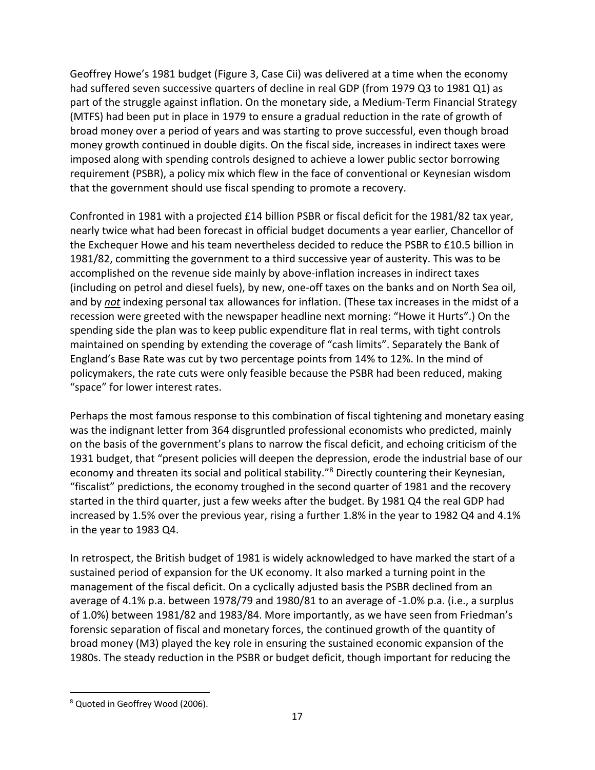Geoffrey Howe's 1981 budget (Figure 3, Case Cii) was delivered at a time when the economy had suffered seven successive quarters of decline in real GDP (from 1979 Q3 to 1981 Q1) as part of the struggle against inflation. On the monetary side, a Medium-Term Financial Strategy (MTFS) had been put in place in 1979 to ensure a gradual reduction in the rate of growth of broad money over a period of years and was starting to prove successful, even though broad money growth continued in double digits. On the fiscal side, increases in indirect taxes were imposed along with spending controls designed to achieve a lower public sector borrowing requirement (PSBR), a policy mix which flew in the face of conventional or Keynesian wisdom that the government should use fiscal spending to promote a recovery.

Confronted in 1981 with a projected £14 billion PSBR or fiscal deficit for the 1981/82 tax year, nearly twice what had been forecast in official budget documents a year earlier, Chancellor of the Exchequer Howe and his team nevertheless decided to reduce the PSBR to £10.5 billion in 1981/82, committing the government to a third successive year of austerity. This was to be accomplished on the revenue side mainly by above-inflation increases in indirect taxes (including on petrol and diesel fuels), by new, one-off taxes on the banks and on North Sea oil, and by *not* indexing personal tax allowances for inflation. (These tax increases in the midst of a recession were greeted with the newspaper headline next morning: "Howe it Hurts".) On the spending side the plan was to keep public expenditure flat in real terms, with tight controls maintained on spending by extending the coverage of "cash limits". Separately the Bank of England's Base Rate was cut by two percentage points from 14% to 12%. In the mind of policymakers, the rate cuts were only feasible because the PSBR had been reduced, making "space" for lower interest rates.

Perhaps the most famous response to this combination of fiscal tightening and monetary easing was the indignant letter from 364 disgruntled professional economists who predicted, mainly on the basis of the government's plans to narrow the fiscal deficit, and echoing criticism of the 1931 budget, that "present policies will deepen the depression, erode the industrial base of our economy and threaten its social and political stability."<sup>8</sup> Directly countering their Keynesian, "fiscalist" predictions, the economy troughed in the second quarter of 1981 and the recovery started in the third quarter, just a few weeks after the budget. By 1981 Q4 the real GDP had increased by 1.5% over the previous year, rising a further 1.8% in the year to 1982 Q4 and 4.1% in the year to 1983 Q4.

In retrospect, the British budget of 1981 is widely acknowledged to have marked the start of a sustained period of expansion for the UK economy. It also marked a turning point in the management of the fiscal deficit. On a cyclically adjusted basis the PSBR declined from an average of 4.1% p.a. between 1978/79 and 1980/81 to an average of -1.0% p.a. (i.e., a surplus of 1.0%) between 1981/82 and 1983/84. More importantly, as we have seen from Friedman's forensic separation of fiscal and monetary forces, the continued growth of the quantity of broad money (M3) played the key role in ensuring the sustained economic expansion of the 1980s. The steady reduction in the PSBR or budget deficit, though important for reducing the

<sup>8</sup> Quoted in Geoffrey Wood (2006).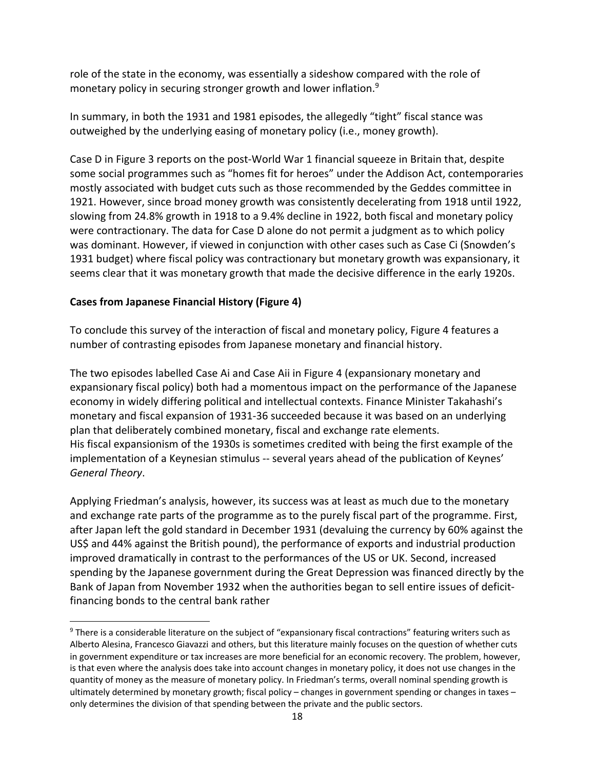role of the state in the economy, was essentially a sideshow compared with the role of monetary policy in securing stronger growth and lower inflation.<sup>9</sup>

In summary, in both the 1931 and 1981 episodes, the allegedly "tight" fiscal stance was outweighed by the underlying easing of monetary policy (i.e., money growth).

Case D in Figure 3 reports on the post-World War 1 financial squeeze in Britain that, despite some social programmes such as "homes fit for heroes" under the Addison Act, contemporaries mostly associated with budget cuts such as those recommended by the Geddes committee in 1921. However, since broad money growth was consistently decelerating from 1918 until 1922, slowing from 24.8% growth in 1918 to a 9.4% decline in 1922, both fiscal and monetary policy were contractionary. The data for Case D alone do not permit a judgment as to which policy was dominant. However, if viewed in conjunction with other cases such as Case Ci (Snowden's 1931 budget) where fiscal policy was contractionary but monetary growth was expansionary, it seems clear that it was monetary growth that made the decisive difference in the early 1920s.

### **Cases from Japanese Financial History (Figure 4)**

To conclude this survey of the interaction of fiscal and monetary policy, Figure 4 features a number of contrasting episodes from Japanese monetary and financial history.

The two episodes labelled Case Ai and Case Aii in Figure 4 (expansionary monetary and expansionary fiscal policy) both had a momentous impact on the performance of the Japanese economy in widely differing political and intellectual contexts. Finance Minister Takahashi's monetary and fiscal expansion of 1931-36 succeeded because it was based on an underlying plan that deliberately combined monetary, fiscal and exchange rate elements. His fiscal expansionism of the 1930s is sometimes credited with being the first example of the implementation of a Keynesian stimulus -- several years ahead of the publication of Keynes' *General Theory*.

Applying Friedman's analysis, however, its success was at least as much due to the monetary and exchange rate parts of the programme as to the purely fiscal part of the programme. First, after Japan left the gold standard in December 1931 (devaluing the currency by 60% against the US\$ and 44% against the British pound), the performance of exports and industrial production improved dramatically in contrast to the performances of the US or UK. Second, increased spending by the Japanese government during the Great Depression was financed directly by the Bank of Japan from November 1932 when the authorities began to sell entire issues of deficitfinancing bonds to the central bank rather

<sup>&</sup>lt;sup>9</sup> There is a considerable literature on the subject of "expansionary fiscal contractions" featuring writers such as Alberto Alesina, Francesco Giavazzi and others, but this literature mainly focuses on the question of whether cuts in government expenditure or tax increases are more beneficial for an economic recovery. The problem, however, is that even where the analysis does take into account changes in monetary policy, it does not use changes in the quantity of money as the measure of monetary policy. In Friedman's terms, overall nominal spending growth is ultimately determined by monetary growth; fiscal policy – changes in government spending or changes in taxes – only determines the division of that spending between the private and the public sectors.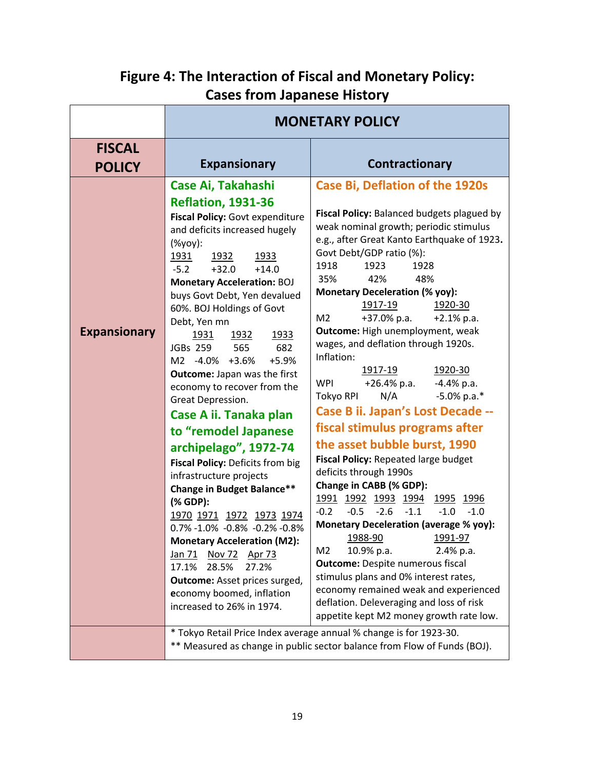# **Figure 4: The Interaction of Fiscal and Monetary Policy: Cases from Japanese History**

|                                | <b>MONETARY POLICY</b>                                                                                                                                                                                                                                                                                                                                                                                                                                                                                                                                                                                                                                                                                                                                                                                                                                                                                                    |                                                                                                                                                                                                                                                                                                                                                                                                                                                                                                                                                                                                                                                                                                                                                                                                                                                                                                                                                                                                                                                                                                                                                                                                                                                                                                     |
|--------------------------------|---------------------------------------------------------------------------------------------------------------------------------------------------------------------------------------------------------------------------------------------------------------------------------------------------------------------------------------------------------------------------------------------------------------------------------------------------------------------------------------------------------------------------------------------------------------------------------------------------------------------------------------------------------------------------------------------------------------------------------------------------------------------------------------------------------------------------------------------------------------------------------------------------------------------------|-----------------------------------------------------------------------------------------------------------------------------------------------------------------------------------------------------------------------------------------------------------------------------------------------------------------------------------------------------------------------------------------------------------------------------------------------------------------------------------------------------------------------------------------------------------------------------------------------------------------------------------------------------------------------------------------------------------------------------------------------------------------------------------------------------------------------------------------------------------------------------------------------------------------------------------------------------------------------------------------------------------------------------------------------------------------------------------------------------------------------------------------------------------------------------------------------------------------------------------------------------------------------------------------------------|
| <b>FISCAL</b><br><b>POLICY</b> | <b>Expansionary</b>                                                                                                                                                                                                                                                                                                                                                                                                                                                                                                                                                                                                                                                                                                                                                                                                                                                                                                       | Contractionary                                                                                                                                                                                                                                                                                                                                                                                                                                                                                                                                                                                                                                                                                                                                                                                                                                                                                                                                                                                                                                                                                                                                                                                                                                                                                      |
| <b>Expansionary</b>            | Case Ai, Takahashi<br><b>Reflation, 1931-36</b><br>Fiscal Policy: Govt expenditure<br>and deficits increased hugely<br>(%yoy):<br>1931<br>1933<br>1932<br>$-5.2$<br>$+32.0$<br>$+14.0$<br><b>Monetary Acceleration: BOJ</b><br>buys Govt Debt, Yen devalued<br>60%. BOJ Holdings of Govt<br>Debt, Yen mn<br>1932<br>1933<br>1931<br>JGBs 259<br>682<br>565<br>M2 -4.0% +3.6%<br>$+5.9%$<br>Outcome: Japan was the first<br>economy to recover from the<br>Great Depression.<br>Case A ii. Tanaka plan<br>to "remodel Japanese<br>archipelago", 1972-74<br>Fiscal Policy: Deficits from big<br>infrastructure projects<br>Change in Budget Balance**<br>(% GDP):<br>1970 1971 1972 1973 1974<br>0.7% -1.0% -0.8% -0.2% -0.8%<br><b>Monetary Acceleration (M2):</b><br>Nov 72 Apr 73<br><u>Jan 71</u><br>27.2%<br>17.1%<br>28.5%<br>Outcome: Asset prices surged,<br>economy boomed, inflation<br>increased to 26% in 1974. | <b>Case Bi, Deflation of the 1920s</b><br>Fiscal Policy: Balanced budgets plagued by<br>weak nominal growth; periodic stimulus<br>e.g., after Great Kanto Earthquake of 1923.<br>Govt Debt/GDP ratio (%):<br>1918<br>1923<br>1928<br>35%<br>42%<br>48%<br><b>Monetary Deceleration (% yoy):</b><br>1917-19<br>1920-30<br>+37.0% p.a.<br>M <sub>2</sub><br>$+2.1\%$ p.a.<br>Outcome: High unemployment, weak<br>wages, and deflation through 1920s.<br>Inflation:<br>1920-30<br>1917-19<br><b>WPI</b><br>+26.4% p.a.<br>$-4.4\%$ p.a.<br>$-5.0\%$ p.a.*<br>N/A<br>Tokyo RPI<br>Case B ii. Japan's Lost Decade --<br>fiscal stimulus programs after<br>the asset bubble burst, 1990<br>Fiscal Policy: Repeated large budget<br>deficits through 1990s<br>Change in CABB (% GDP):<br><u>1991 1992 1993 1994</u><br>1995 1996<br>$-2.6$<br>$-1.1$<br>$-0.2$<br>$-0.5$<br>$-1.0$<br>$-1.0$<br><b>Monetary Deceleration (average % yoy):</b><br>1988-90<br>1991-97<br>M <sub>2</sub><br>10.9% p.a.<br>2.4% p.a.<br><b>Outcome:</b> Despite numerous fiscal<br>stimulus plans and 0% interest rates,<br>economy remained weak and experienced<br>deflation. Deleveraging and loss of risk<br>appetite kept M2 money growth rate low.<br>* Tokyo Retail Price Index average annual % change is for 1923-30. |
|                                |                                                                                                                                                                                                                                                                                                                                                                                                                                                                                                                                                                                                                                                                                                                                                                                                                                                                                                                           | ** Measured as change in public sector balance from Flow of Funds (BOJ).                                                                                                                                                                                                                                                                                                                                                                                                                                                                                                                                                                                                                                                                                                                                                                                                                                                                                                                                                                                                                                                                                                                                                                                                                            |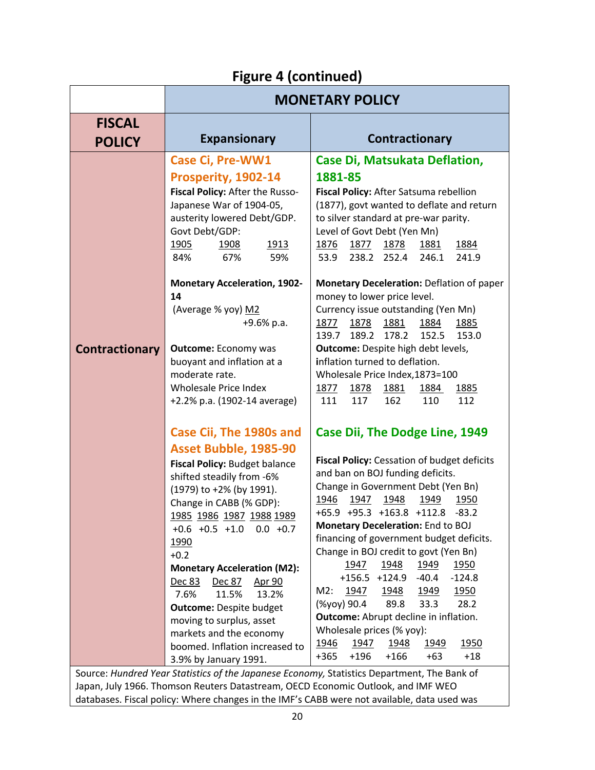# **Figure 4 (continued)**

|                                | <b>MONETARY POLICY</b>                                                                                                                                                                                                                                                                                                     |                                                                                                                                                                                                                                                                                                                                                                                                                                          |
|--------------------------------|----------------------------------------------------------------------------------------------------------------------------------------------------------------------------------------------------------------------------------------------------------------------------------------------------------------------------|------------------------------------------------------------------------------------------------------------------------------------------------------------------------------------------------------------------------------------------------------------------------------------------------------------------------------------------------------------------------------------------------------------------------------------------|
| <b>FISCAL</b><br><b>POLICY</b> | <b>Expansionary</b>                                                                                                                                                                                                                                                                                                        | Contractionary                                                                                                                                                                                                                                                                                                                                                                                                                           |
|                                | <b>Case Ci, Pre-WW1</b><br>Prosperity, 1902-14<br>Fiscal Policy: After the Russo-<br>Japanese War of 1904-05,<br>austerity lowered Debt/GDP.<br>Govt Debt/GDP:<br>1913<br><u>1905</u><br>1908<br>84%<br>67%<br>59%                                                                                                         | Case Di, Matsukata Deflation,<br>1881-85<br>Fiscal Policy: After Satsuma rebellion<br>(1877), govt wanted to deflate and return<br>to silver standard at pre-war parity.<br>Level of Govt Debt (Yen Mn)<br>1877<br>1878<br>1884<br>1876<br>1881<br>238.2<br>246.1<br>241.9<br>53.9<br>252.4                                                                                                                                              |
|                                | <b>Monetary Acceleration, 1902-</b><br>14<br>(Average % yoy) M2<br>+9.6% p.a.                                                                                                                                                                                                                                              | Monetary Deceleration: Deflation of paper<br>money to lower price level.<br>Currency issue outstanding (Yen Mn)<br>1881<br>1877<br>1878<br>1884<br>1885<br>189.2<br>178.2<br>152.5<br>153.0<br>139.7                                                                                                                                                                                                                                     |
| <b>Contractionary</b>          | <b>Outcome: Economy was</b><br>buoyant and inflation at a<br>moderate rate.<br><b>Wholesale Price Index</b><br>+2.2% p.a. (1902-14 average)                                                                                                                                                                                | Outcome: Despite high debt levels,<br>inflation turned to deflation.<br>Wholesale Price Index, 1873=100<br>1878<br>1881<br><u> 1877 </u><br>1884<br><u>1885</u><br>111<br>117<br>162<br>110<br>112                                                                                                                                                                                                                                       |
|                                | Case Cii, The 1980s and<br>Asset Bubble, 1985-90<br>Fiscal Policy: Budget balance<br>shifted steadily from -6%<br>(1979) to +2% (by 1991).<br>Change in CABB (% GDP):<br>1985 1986 1987 1988 1989<br>$+0.6 +0.5 +1.0$<br>$0.0 + 0.7$<br>1990<br>$+0.2$<br><b>Monetary Acceleration (M2):</b><br>Dec 83<br>Dec 87<br>Apr 90 | <b>Case Dii, The Dodge Line, 1949</b><br>Fiscal Policy: Cessation of budget deficits<br>and ban on BOJ funding deficits.<br>Change in Government Debt (Yen Bn)<br>1946<br>1947 1948<br>1949<br>1950<br>+65.9 +95.3 +163.8 +112.8 -83.2<br>Monetary Deceleration: End to BOJ<br>financing of government budget deficits.<br>Change in BOJ credit to govt (Yen Bn)<br>1947<br>1948<br>1949<br>1950<br>+156.5 +124.9<br>$-40.4$<br>$-124.8$ |
|                                | 13.2%<br>7.6%<br>11.5%<br><b>Outcome: Despite budget</b><br>moving to surplus, asset<br>markets and the economy<br>boomed. Inflation increased to<br>3.9% by January 1991.                                                                                                                                                 | M2:<br>1947<br>1948<br>1949<br><u>1950</u><br>33.3<br>28.2<br>(%yoy) 90.4<br>89.8<br>Outcome: Abrupt decline in inflation.<br>Wholesale prices (% yoy):<br>1950<br>1947<br>1946<br><u>1948</u><br><u>1949</u><br>$+18$<br>$+365$<br>$+196$<br>$+166$<br>$+63$<br>Source: Hundred Year Statistics of the Japanese Economy, Statistics Department. The Bank of                                                                             |

Source: *Hundred Year Statistics of the Japanese Economy,* Statistics Department, The Bank of Japan, July 1966. Thomson Reuters Datastream, OECD Economic Outlook, and IMF WEO databases. Fiscal policy: Where changes in the IMF's CABB were not available, data used was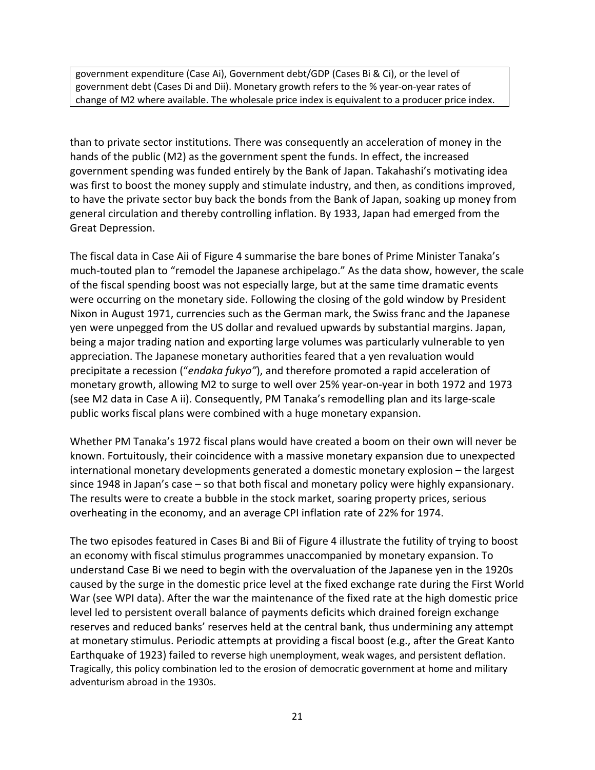government expenditure (Case Ai), Government debt/GDP (Cases Bi & Ci), or the level of government debt (Cases Di and Dii). Monetary growth refers to the % year-on-year rates of change of M2 where available. The wholesale price index is equivalent to a producer price index.

than to private sector institutions. There was consequently an acceleration of money in the hands of the public (M2) as the government spent the funds. In effect, the increased government spending was funded entirely by the Bank of Japan. Takahashi's motivating idea was first to boost the money supply and stimulate industry, and then, as conditions improved, to have the private sector buy back the bonds from the Bank of Japan, soaking up money from general circulation and thereby controlling inflation. By 1933, Japan had emerged from the Great Depression.

The fiscal data in Case Aii of Figure 4 summarise the bare bones of Prime Minister Tanaka's much-touted plan to "remodel the Japanese archipelago." As the data show, however, the scale of the fiscal spending boost was not especially large, but at the same time dramatic events were occurring on the monetary side. Following the closing of the gold window by President Nixon in August 1971, currencies such as the German mark, the Swiss franc and the Japanese yen were unpegged from the US dollar and revalued upwards by substantial margins. Japan, being a major trading nation and exporting large volumes was particularly vulnerable to yen appreciation. The Japanese monetary authorities feared that a yen revaluation would precipitate a recession ("*endaka fukyo"*), and therefore promoted a rapid acceleration of monetary growth, allowing M2 to surge to well over 25% year-on-year in both 1972 and 1973 (see M2 data in Case A ii). Consequently, PM Tanaka's remodelling plan and its large-scale public works fiscal plans were combined with a huge monetary expansion.

Whether PM Tanaka's 1972 fiscal plans would have created a boom on their own will never be known. Fortuitously, their coincidence with a massive monetary expansion due to unexpected international monetary developments generated a domestic monetary explosion – the largest since 1948 in Japan's case – so that both fiscal and monetary policy were highly expansionary. The results were to create a bubble in the stock market, soaring property prices, serious overheating in the economy, and an average CPI inflation rate of 22% for 1974.

The two episodes featured in Cases Bi and Bii of Figure 4 illustrate the futility of trying to boost an economy with fiscal stimulus programmes unaccompanied by monetary expansion. To understand Case Bi we need to begin with the overvaluation of the Japanese yen in the 1920s caused by the surge in the domestic price level at the fixed exchange rate during the First World War (see WPI data). After the war the maintenance of the fixed rate at the high domestic price level led to persistent overall balance of payments deficits which drained foreign exchange reserves and reduced banks' reserves held at the central bank, thus undermining any attempt at monetary stimulus. Periodic attempts at providing a fiscal boost (e.g., after the Great Kanto Earthquake of 1923) failed to reverse high unemployment, weak wages, and persistent deflation. Tragically, this policy combination led to the erosion of democratic government at home and military adventurism abroad in the 1930s.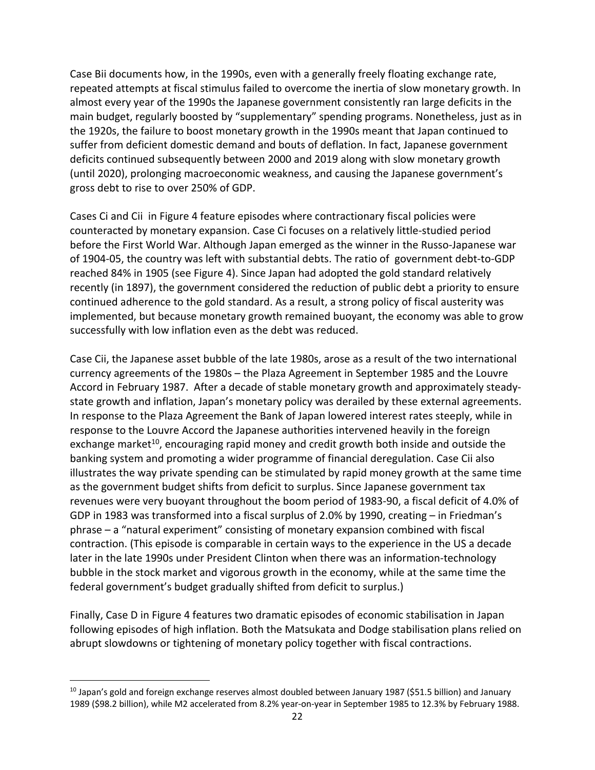Case Bii documents how, in the 1990s, even with a generally freely floating exchange rate, repeated attempts at fiscal stimulus failed to overcome the inertia of slow monetary growth. In almost every year of the 1990s the Japanese government consistently ran large deficits in the main budget, regularly boosted by "supplementary" spending programs. Nonetheless, just as in the 1920s, the failure to boost monetary growth in the 1990s meant that Japan continued to suffer from deficient domestic demand and bouts of deflation. In fact, Japanese government deficits continued subsequently between 2000 and 2019 along with slow monetary growth (until 2020), prolonging macroeconomic weakness, and causing the Japanese government's gross debt to rise to over 250% of GDP.

Cases Ci and Cii in Figure 4 feature episodes where contractionary fiscal policies were counteracted by monetary expansion. Case Ci focuses on a relatively little-studied period before the First World War. Although Japan emerged as the winner in the Russo-Japanese war of 1904-05, the country was left with substantial debts. The ratio of government debt-to-GDP reached 84% in 1905 (see Figure 4). Since Japan had adopted the gold standard relatively recently (in 1897), the government considered the reduction of public debt a priority to ensure continued adherence to the gold standard. As a result, a strong policy of fiscal austerity was implemented, but because monetary growth remained buoyant, the economy was able to grow successfully with low inflation even as the debt was reduced.

Case Cii, the Japanese asset bubble of the late 1980s, arose as a result of the two international currency agreements of the 1980s – the Plaza Agreement in September 1985 and the Louvre Accord in February 1987. After a decade of stable monetary growth and approximately steadystate growth and inflation, Japan's monetary policy was derailed by these external agreements. In response to the Plaza Agreement the Bank of Japan lowered interest rates steeply, while in response to the Louvre Accord the Japanese authorities intervened heavily in the foreign exchange market<sup>10</sup>, encouraging rapid money and credit growth both inside and outside the banking system and promoting a wider programme of financial deregulation. Case Cii also illustrates the way private spending can be stimulated by rapid money growth at the same time as the government budget shifts from deficit to surplus. Since Japanese government tax revenues were very buoyant throughout the boom period of 1983-90, a fiscal deficit of 4.0% of GDP in 1983 was transformed into a fiscal surplus of 2.0% by 1990, creating – in Friedman's phrase – a "natural experiment" consisting of monetary expansion combined with fiscal contraction. (This episode is comparable in certain ways to the experience in the US a decade later in the late 1990s under President Clinton when there was an information-technology bubble in the stock market and vigorous growth in the economy, while at the same time the federal government's budget gradually shifted from deficit to surplus.)

Finally, Case D in Figure 4 features two dramatic episodes of economic stabilisation in Japan following episodes of high inflation. Both the Matsukata and Dodge stabilisation plans relied on abrupt slowdowns or tightening of monetary policy together with fiscal contractions.

 $^{10}$  Japan's gold and foreign exchange reserves almost doubled between January 1987 (\$51.5 billion) and January 1989 (\$98.2 billion), while M2 accelerated from 8.2% year-on-year in September 1985 to 12.3% by February 1988.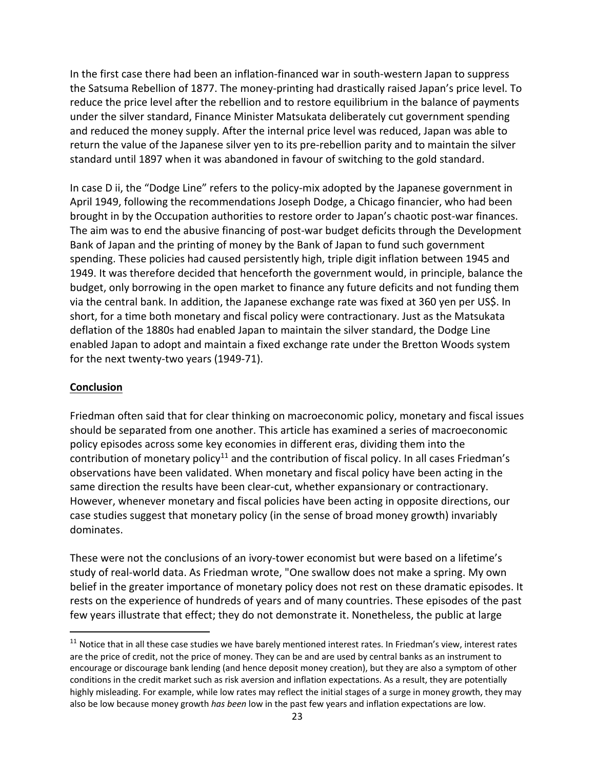In the first case there had been an inflation-financed war in south-western Japan to suppress the Satsuma Rebellion of 1877. The money-printing had drastically raised Japan's price level. To reduce the price level after the rebellion and to restore equilibrium in the balance of payments under the silver standard, Finance Minister Matsukata deliberately cut government spending and reduced the money supply. After the internal price level was reduced, Japan was able to return the value of the Japanese silver yen to its pre-rebellion parity and to maintain the silver standard until 1897 when it was abandoned in favour of switching to the gold standard.

In case D ii, the "Dodge Line" refers to the policy-mix adopted by the Japanese government in April 1949, following the recommendations Joseph Dodge, a Chicago financier, who had been brought in by the Occupation authorities to restore order to Japan's chaotic post-war finances. The aim was to end the abusive financing of post-war budget deficits through the Development Bank of Japan and the printing of money by the Bank of Japan to fund such government spending. These policies had caused persistently high, triple digit inflation between 1945 and 1949. It was therefore decided that henceforth the government would, in principle, balance the budget, only borrowing in the open market to finance any future deficits and not funding them via the central bank. In addition, the Japanese exchange rate was fixed at 360 yen per US\$. In short, for a time both monetary and fiscal policy were contractionary. Just as the Matsukata deflation of the 1880s had enabled Japan to maintain the silver standard, the Dodge Line enabled Japan to adopt and maintain a fixed exchange rate under the Bretton Woods system for the next twenty-two years (1949-71).

#### **Conclusion**

Friedman often said that for clear thinking on macroeconomic policy, monetary and fiscal issues should be separated from one another. This article has examined a series of macroeconomic policy episodes across some key economies in different eras, dividing them into the contribution of monetary policy<sup>11</sup> and the contribution of fiscal policy. In all cases Friedman's observations have been validated. When monetary and fiscal policy have been acting in the same direction the results have been clear-cut, whether expansionary or contractionary. However, whenever monetary and fiscal policies have been acting in opposite directions, our case studies suggest that monetary policy (in the sense of broad money growth) invariably dominates.

These were not the conclusions of an ivory-tower economist but were based on a lifetime's study of real-world data. As Friedman wrote, "One swallow does not make a spring. My own belief in the greater importance of monetary policy does not rest on these dramatic episodes. It rests on the experience of hundreds of years and of many countries. These episodes of the past few years illustrate that effect; they do not demonstrate it. Nonetheless, the public at large

<sup>&</sup>lt;sup>11</sup> Notice that in all these case studies we have barely mentioned interest rates. In Friedman's view, interest rates are the price of credit, not the price of money. They can be and are used by central banks as an instrument to encourage or discourage bank lending (and hence deposit money creation), but they are also a symptom of other conditions in the credit market such as risk aversion and inflation expectations. As a result, they are potentially highly misleading. For example, while low rates may reflect the initial stages of a surge in money growth, they may also be low because money growth *has been* low in the past few years and inflation expectations are low.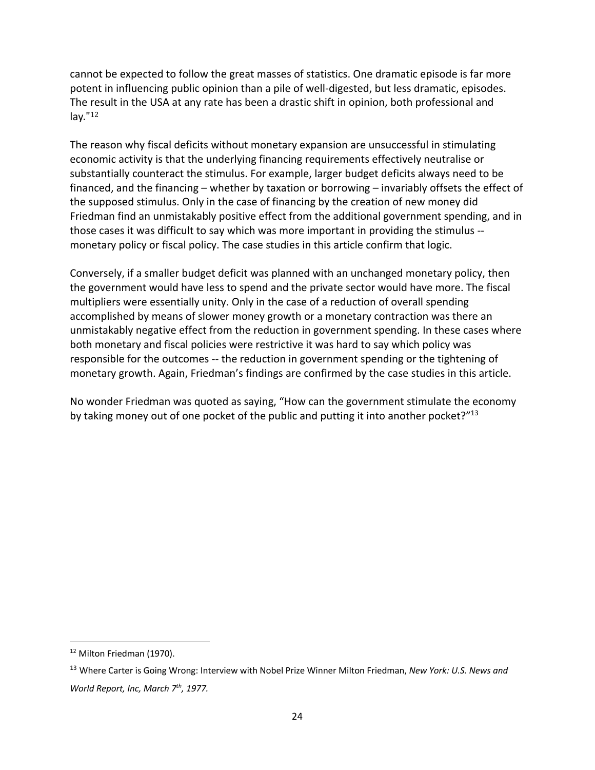cannot be expected to follow the great masses of statistics. One dramatic episode is far more potent in influencing public opinion than a pile of well-digested, but less dramatic, episodes. The result in the USA at any rate has been a drastic shift in opinion, both professional and lay." $12$ 

The reason why fiscal deficits without monetary expansion are unsuccessful in stimulating economic activity is that the underlying financing requirements effectively neutralise or substantially counteract the stimulus. For example, larger budget deficits always need to be financed, and the financing – whether by taxation or borrowing – invariably offsets the effect of the supposed stimulus. Only in the case of financing by the creation of new money did Friedman find an unmistakably positive effect from the additional government spending, and in those cases it was difficult to say which was more important in providing the stimulus - monetary policy or fiscal policy. The case studies in this article confirm that logic.

Conversely, if a smaller budget deficit was planned with an unchanged monetary policy, then the government would have less to spend and the private sector would have more. The fiscal multipliers were essentially unity. Only in the case of a reduction of overall spending accomplished by means of slower money growth or a monetary contraction was there an unmistakably negative effect from the reduction in government spending. In these cases where both monetary and fiscal policies were restrictive it was hard to say which policy was responsible for the outcomes -- the reduction in government spending or the tightening of monetary growth. Again, Friedman's findings are confirmed by the case studies in this article.

No wonder Friedman was quoted as saying, "How can the government stimulate the economy by taking money out of one pocket of the public and putting it into another pocket?"<sup>13</sup>

<sup>&</sup>lt;sup>12</sup> Milton Friedman (1970).

<sup>13</sup> Where Carter is Going Wrong: Interview with Nobel Prize Winner Milton Friedman, *New York: U.S. News and World Report, Inc, March 7th, 1977.*